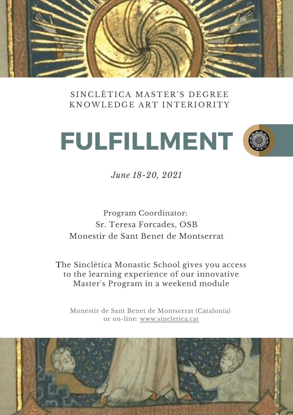

SINCLÈTICA MASTER'S DEGREE KNOWLEDGE ART INTERIORITY





*June 18-20, 2021*

Program Coordinator: Sr. Teresa Forcades, OSB Monestir de Sant Benet de Montserrat

The Sinclètica Monastic School gives you access to the learning experience of our innovative Master's Program in a weekend module

Monestir de Sant Benet de Montserrat (Catalonia) or on-lin[e:](https://www.sincletica.cat/) [www.sincletica.cat](https://www.sincletica.cat/)

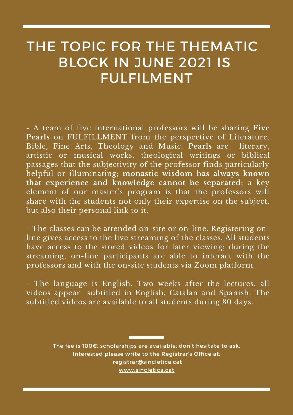# THE TOPIC FOR THE THEMATIC BLOCK IN JUNE 2021 IS FULFILMENT

- A team of five international professors will be sharing **Five Pearls** on FULFILLMENT from the perspective of Literature, Bible, Fine Arts, Theology and Music. **Pearls** are literary, artistic or musical works, theological writings or biblical passages that the subjectivity of the professor finds particularly helpful or illuminating; **monastic wisdom has always known that experience and knowledge cannot be separated**; a key element of our master's program is that the professors will share with the students not only their expertise on the subject, but also their personal link to it.

- The classes can be attended on-site or on-line. Registering online gives access to the live streaming of the classes. All students have access to the stored videos for later viewing; during the streaming, on-line participants are able to interact with the professors and with the on-site students via Zoom platform.

- The language is English. Two weeks after the lectures, all videos appear subtitled in English, Catalan and Spanish. The subtitled videos are available to all students during 30 days.

> The fee is 100€; scholarships are available; don't hesitate to ask. Interested please write to the Registrar's Office at: [registrar@sincletica.cat](http://sincletica.cat/) [www.sincletica.cat](https://www.sincletica.cat/)